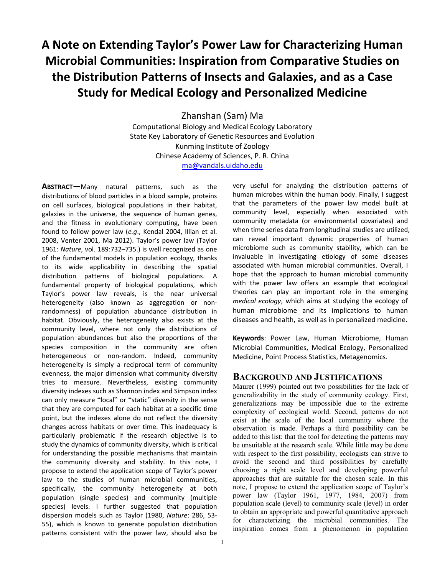# **A Note on Extending Taylor's Power Law for Characterizing Human Microbial Communities: Inspiration from Comparative Studies on the Distribution Patterns of Insects and Galaxies, and as a Case Study for Medical Ecology and Personalized Medicine**

Zhanshan (Sam) Ma Computational Biology and Medical Ecology Laboratory State Key Laboratory of Genetic Resources and Evolution Kunming Institute of Zoology Chinese Academy of Sciences, P. R. China ma@vandals.uidaho.edu

**ABSTRACT**—Many natural patterns, such as the distributions of blood particles in a blood sample, proteins on cell surfaces, biological populations in their habitat, galaxies in the universe, the sequence of human genes, and the fitness in evolutionary computing, have been found to follow power law (*e.g*., Kendal 2004, Illian et al. 2008, Venter 2001, Ma 2012). Taylor's power law (Taylor 1961: *Nature*, vol. 189:732–735.) is well recognized as one of the fundamental models in population ecology, thanks to its wide applicability in describing the spatial distribution patterns of biological populations. A fundamental property of biological populations, which Taylor's power law reveals, is the near universal heterogeneity (also known as aggregation or nonrandomness) of population abundance distribution in habitat. Obviously, the heterogeneity also exists at the community level, where not only the distributions of population abundances but also the proportions of the species composition in the community are often heterogeneous or non-random. Indeed, community heterogeneity is simply a reciprocal term of community evenness, the major dimension what community diversity tries to measure. Nevertheless, existing community diversity indexes such as Shannon index and Simpson index can only measure "local" or "static" diversity in the sense that they are computed for each habitat at a specific time point, but the indexes alone do not reflect the diversity changes across habitats or over time. This inadequacy is particularly problematic if the research objective is to study the dynamics of community diversity, which is critical for understanding the possible mechanisms that maintain the community diversity and stability. In this note, I propose to extend the application scope of Taylor's power law to the studies of human microbial communities, specifically, the community heterogeneity at both population (single species) and community (multiple species) levels. I further suggested that population dispersion models such as Taylor (1980, *Nature*: 286, 53- 55), which is known to generate population distribution patterns consistent with the power law, should also be

very useful for analyzing the distribution patterns of human microbes within the human body. Finally, I suggest that the parameters of the power law model built at community level, especially when associated with community metadata (or environmental covariates) and when time series data from longitudinal studies are utilized, can reveal important dynamic properties of human microbiome such as community stability, which can be invaluable in investigating etiology of some diseases associated with human microbial communities. Overall, I hope that the approach to human microbial community with the power law offers an example that ecological theories can play an important role in the emerging *medical ecology*, which aims at studying the ecology of human microbiome and its implications to human diseases and health, as well as in personalized medicine.

**Keywords**: Power Law, Human Microbiome, Human Microbial Communities, Medical Ecology, Personalized Medicine, Point Process Statistics, Metagenomics.

### **BACKGROUND AND JUSTIFICATIONS**

Maurer (1999) pointed out two possibilities for the lack of generalizability in the study of community ecology. First, generalizations may be impossible due to the extreme complexity of ecological world. Second, patterns do not exist at the scale of the local community where the observation is made. Perhaps a third possibility can be added to this list: that the tool for detecting the patterns may be unsuitable at the research scale. While little may be done with respect to the first possibility, ecologists can strive to avoid the second and third possibilities by carefully choosing a right scale level and developing powerful approaches that are suitable for the chosen scale. In this note, I propose to extend the application scope of Taylor's power law (Taylor 1961, 1977, 1984, 2007) from population scale (level) to community scale (level) in order to obtain an appropriate and powerful quantitative approach for characterizing the microbial communities. The inspiration comes from a phenomenon in population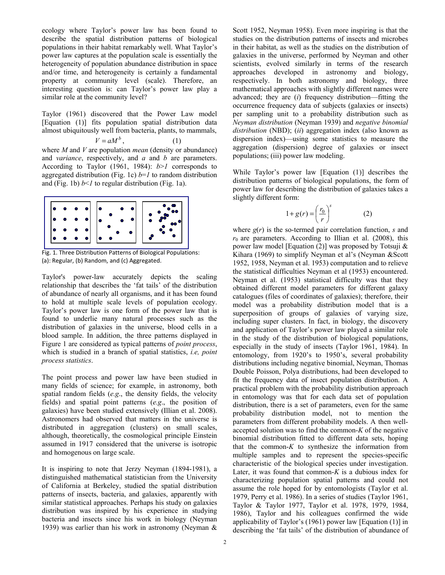ecology where Taylor's power law has been found to describe the spatial distribution patterns of biological populations in their habitat remarkably well. What Taylor's power law captures at the population scale is essentially the heterogeneity of population abundance distribution in space and/or time, and heterogeneity is certainly a fundamental property at community level (scale). Therefore, an interesting question is: can Taylor's power law play a similar role at the community level?

Taylor (1961) discovered that the Power Law model [Equation (1)] fits population spatial distribution data almost ubiquitously well from bacteria, plants, to mammals,

$$
V = aM^b, \tag{1}
$$

where *M* and *V* are population *mean* (density or abundance) and *variance*, respectively, and *a* and *b* are parameters. According to Taylor (1961, 1984): *b*>*1* corresponds to aggregated distribution (Fig. 1c) *b*=*1* to random distribution and (Fig. 1b) *b*<*1* to regular distribution (Fig. 1a).



Fig. 1. Three Distribution Patterns of Biological Populations: (a): Regular, (b) Random, and (c) Aggregated.

Taylor's power-law accurately depicts the scaling relationship that describes the 'fat tails' of the distribution of abundance of nearly all organisms, and it has been found to hold at multiple scale levels of population ecology. Taylor's power law is one form of the power law that is found to underlie many natural processes such as the distribution of galaxies in the universe, blood cells in a blood sample. In addition, the three patterns displayed in Figure 1 are considered as typical patterns of *point process*, which is studied in a branch of spatial statistics, *i.e, point process statistics*.

The point process and power law have been studied in many fields of science; for example, in astronomy, both spatial random fields (*e.g*., the density fields, the velocity fields) and spatial point patterns (*e.g*., the position of galaxies) have been studied extensively (Illian et al. 2008). Astronomers had observed that matters in the universe is distributed in aggregation (clusters) on small scales, although, theoretically, the cosmological principle Einstein assumed in 1917 considered that the universe is isotropic and homogenous on large scale.

It is inspiring to note that Jerzy Neyman (1894-1981), a distinguished mathematical statistician from the University of California at Berkeley, studied the spatial distribution patterns of insects, bacteria, and galaxies, apparently with similar statistical approaches. Perhaps his study on galaxies distribution was inspired by his experience in studying bacteria and insects since his work in biology (Neyman 1939) was earlier than his work in astronomy (Neyman &

Scott 1952, Neyman 1958). Even more inspiring is that the studies on the distribution patterns of insects and microbes in their habitat, as well as the studies on the distribution of galaxies in the universe, performed by Neyman and other scientists, evolved similarly in terms of the research approaches developed in astronomy and biology, respectively. In both astronomy and biology, three mathematical approaches with slightly different names were advanced; they are (*i*) frequency distribution—fitting the occurrence frequency data of subjects (galaxies or insects) per sampling unit to a probability distribution such as *Neyman distribution* (Neyman 1939) and *negative binomial distribution* (NBD); (*ii*) aggregation index (also known as dispersion index)—using some statistics to measure the aggregation (dispersion) degree of galaxies or insect populations; (iii) power law modeling.

While Taylor's power law [Equation (1)] describes the distribution patterns of biological populations, the form of power law for describing the distribution of galaxies takes a slightly different form:

$$
1 + g(r) = \left(\frac{r_0}{r}\right)^s \tag{2}
$$

where *g*(*r*) is the so-termed pair correlation function, *s* and  $r_0$  are parameters. According to Illian et al. (2008), this power law model [Equation (2)] was proposed by Totsuji & Kihara (1969) to simplify Neyman et al's (Neyman &Scott 1952, 1958, Neyman et al. 1953) computation and to relieve the statistical difficulties Neyman et al (1953) encountered. Neyman et al. (1953) statistical difficulty was that they obtained different model parameters for different galaxy catalogues (files of coordinates of galaxies); therefore, their model was a probability distribution model that is a superposition of groups of galaxies of varying size, including super clusters. In fact, in biology, the discovery and application of Taylor's power law played a similar role in the study of the distribution of biological populations, especially in the study of insects (Taylor 1961, 1984). In entomology, from 1920's to 1950's, several probability distributions including negative binomial, Neyman, Thomas Double Poisson, Polya distributions, had been developed to fit the frequency data of insect population distribution. A practical problem with the probability distribution approach in entomology was that for each data set of population distribution, there is a set of parameters, even for the same probability distribution model, not to mention the parameters from different probability models. A then wellaccepted solution was to find the common-*K* of the negative binomial distribution fitted to different data sets, hoping that the common- $K$  to synthesize the information from multiple samples and to represent the species-specific characteristic of the biological species under investigation. Later, it was found that common- $K$  is a dubious index for characterizing population spatial patterns and could not assume the role hoped for by entomologists (Taylor et al. 1979, Perry et al. 1986). In a series of studies (Taylor 1961, Taylor & Taylor 1977, Taylor et al. 1978, 1979, 1984, 1986), Taylor and his colleagues confirmed the wide applicability of Taylor's (1961) power law [Equation (1)] in describing the 'fat tails' of the distribution of abundance of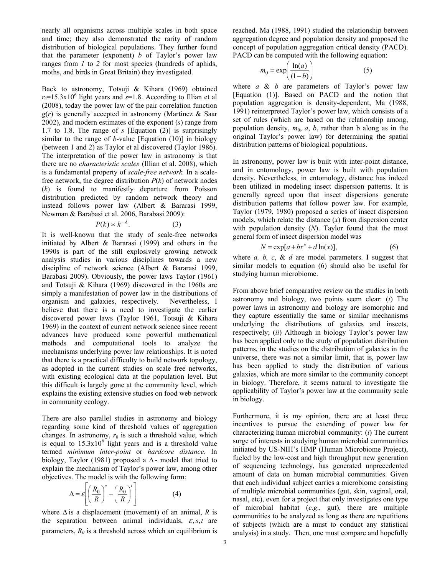nearly all organisms across multiple scales in both space and time; they also demonstrated the rarity of random distribution of biological populations. They further found that the parameter (exponent) *b* of Taylor's power law ranges from *1* to *2* for most species (hundreds of aphids, moths, and birds in Great Britain) they investigated.

Back to astronomy, Totsuji & Kihara (1969) obtained  $r_0$ =15.3x10<sup>6</sup> light years and  $s$ =1.8. According to Illian et al (2008), today the power law of the pair correlation function  $g(r)$  is generally accepted in astronomy (Martinez & Saar 2002), and modern estimates of the exponent (*s*) range from 1.7 to 1.8. The range of *s* [Equation (2)] is surprisingly similar to the range of *b*-value [Equation (10)] in biology (between 1 and 2) as Taylor et al discovered (Taylor 1986). The interpretation of the power law in astronomy is that there are no *characteristic scales* (Illian et al. 2008), which is a fundamental property of *scale-free network.* In a scalefree network, the degree distribution  $P(k)$  of network nodes (*k*) is found to manifestly departure from Poisson distribution predicted by random network theory and instead follows power law (Albert & Bararasi 1999, Newman & Barabasi et al. 2006, Barabasi 2009):

$$
P(k) \propto k^{-\lambda}.\tag{3}
$$

It is well-known that the study of scale-free networks initiated by Albert & Bararasi (1999) and others in the 1990s is part of the still explosively growing network analysis studies in various disciplines towards a new discipline of network science (Albert & Bararasi 1999, Barabasi 2009). Obviously, the power laws Taylor (1961) and Totsuji & Kihara (1969) discovered in the 1960s are simply a manifestation of power law in the distributions of organism and galaxies, respectively. Nevertheless, I believe that there is a need to investigate the earlier discovered power laws (Taylor 1961, Totsuji & Kihara 1969) in the context of current network science since recent advances have produced some powerful mathematical methods and computational tools to analyze the mechanisms underlying power law relationships. It is noted that there is a practical difficulty to build network topology, as adopted in the current studies on scale free networks, with existing ecological data at the population level. But this difficult is largely gone at the community level, which explains the existing extensive studies on food web network in community ecology.

There are also parallel studies in astronomy and biology regarding some kind of threshold values of aggregation changes. In astronomy,  $r_0$  is such a threshold value, which is equal to  $15.3 \times 10^6$  light years and is a threshold value termed *minimum inter-point* or *hardcore distance*. In biology, Taylor (1981) proposed a  $\Delta$ - model that tried to explain the mechanism of Taylor's power law, among other objectives. The model is with the following form:

$$
\Delta = \varepsilon \left[ \left( \frac{R_0}{R} \right)^s - \left( \frac{R_0}{R} \right)^t \right] \tag{4}
$$

where  $\Delta$  is a displacement (movement) of an animal, *R* is the separation between animal individuals, ε,*s*,*t* are parameters,  $R_0$  is a threshold across which an equilibrium is

reached. Ma (1988, 1991) studied the relationship between aggregation degree and population density and proposed the concept of population aggregation critical density (PACD). PACD can be computed with the following equation:

$$
m_0 = \exp\left(\frac{\ln(a)}{(1-b)}\right) \tag{5}
$$

where *a* & *b* are parameters of Taylor's power law [Equation (1)]. Based on PACD and the notion that population aggregation is density-dependent, Ma (1988, 1991) reinterpreted Taylor's power law, which consists of a set of rules (which are based on the relationship among, population density,  $m_0$ ,  $a$ ,  $b$ , rather than b along as in the original Taylor's power law) for determining the spatial distribution patterns of biological populations.

In astronomy, power law is built with inter-point distance, and in entomology, power law is built with population density. Nevertheless, in entomology, distance has indeed been utilized in modeling insect dispersion patterns. It is generally agreed upon that insect dispersions generate distribution patterns that follow power law. For example, Taylor (1979, 1980) proposed a series of insect dispersion models, which relate the distance (*x*) from dispersion center with population density (*N*). Taylor found that the most general form of insect dispersion model was

$$
N = \exp[a + bx^c + d \ln(x)],\tag{6}
$$

where *a, b, c*, & *d* are model parameters. I suggest that similar models to equation (6) should also be useful for studying human microbiome.

From above brief comparative review on the studies in both astronomy and biology, two points seem clear: (*i*) The power laws in astronomy and biology are isomorphic and they capture essentially the same or similar mechanisms underlying the distributions of galaxies and insects, respectively; (*ii*) Although in biology Taylor's power law has been applied only to the study of population distribution patterns, in the studies on the distribution of galaxies in the universe, there was not a similar limit, that is, power law has been applied to study the distribution of various galaxies, which are more similar to the community concept in biology. Therefore, it seems natural to investigate the applicability of Taylor's power law at the community scale in biology.

Furthermore, it is my opinion, there are at least three incentives to pursue the extending of power law for characterizing human microbial community: (*i*) The current surge of interests in studying human microbial communities initiated by US-NIH's HMP (Human Microbiome Project), fueled by the low-cost and high throughput new generation of sequencing technology, has generated unprecedented amount of data on human microbial communities. Given that each individual subject carries a microbiome consisting of multiple microbial communities (gut, skin, vaginal, oral, nasal, etc), even for a project that only investigates one type of microbial habitat (*e.g*., gut), there are multiple communities to be analyzed as long as there are repetitions of subjects (which are a must to conduct any statistical analysis) in a study. Then, one must compare and hopefully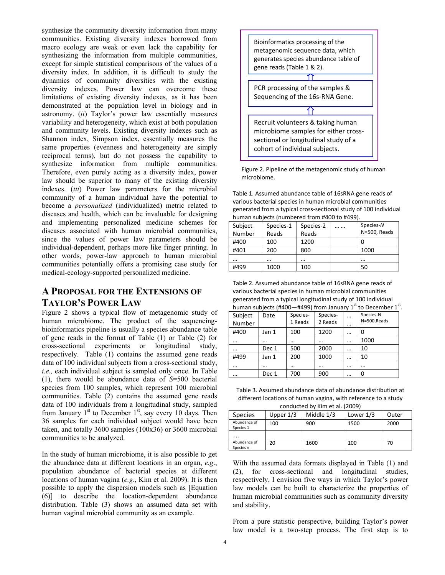synthesize the community diversity information from many communities. Existing diversity indexes borrowed from macro ecology are weak or even lack the capability for synthesizing the information from multiple communities, except for simple statistical comparisons of the values of a diversity index. In addition, it is difficult to study the dynamics of community diversities with the existing diversity indexes. Power law can overcome these limitations of existing diversity indexes, as it has been demonstrated at the population level in biology and in astronomy. (*ii*) Taylor's power law essentially measures variability and heterogeneity, which exist at both population and community levels. Existing diversity indexes such as Shannon index, Simpson index, essentially measures the same properties (evenness and heterogeneity are simply reciprocal terms), but do not possess the capability to synthesize information from multiple communities. Therefore, even purely acting as a diversity index, power law should be superior to many of the existing diversity indexes. (*iii*) Power law parameters for the microbial community of a human individual have the potential to become a *personalized* (individualized) metric related to diseases and health, which can be invaluable for designing and implementing personalized medicine schemes for diseases associated with human microbial communities, since the values of power law parameters should be individual-dependent, perhaps more like finger printing. In other words, power-law approach to human microbial communities potentially offers a promising case study for medical-ecology-supported personalized medicine.

## **A PROPOSAL FOR THE EXTENSIONS OF TAYLOR'S POWER LAW**

Figure 2 shows a typical flow of metagenomic study of human microbiome. The product of the sequencingbioinformatics pipeline is usually a species abundance table of gene reads in the format of Table (1) or Table (2) for cross-sectional experiments or longitudinal study, respectively. Table (1) contains the assumed gene reads data of 100 individual subjects from a cross-sectional study, *i.e.,* each individual subject is sampled only once. In Table (1), there would be abundance data of *S*=500 bacterial species from 100 samples, which represent 100 microbial communities. Table (2) contains the assumed gene reads data of 100 individuals from a longitudinal study, sampled from January  $1<sup>st</sup>$  to December  $1<sup>st</sup>$ , say every 10 days. Then 36 samples for each individual subject would have been taken, and totally 3600 samples (100x36) or 3600 microbial communities to be analyzed.

In the study of human microbiome, it is also possible to get the abundance data at different locations in an organ, *e.g*., population abundance of bacterial species at different locations of human vagina (*e.g*., Kim et al. 2009). It is then possible to apply the dispersion models such as [Equation (6)] to describe the location-dependent abundance distribution. Table (3) shows an assumed data set with human vaginal microbial community as an example.



Figure 2. Pipeline of the metagenomic study of human microbiome.

Table 1. Assumed abundance table of 16sRNA gene reads of various bacterial species in human microbial communities generated from a typical cross-sectional study of 100 individual human subjects (numbered from #400 to #499).

| Subject<br>Number | Species-1<br>Reads | Species-2<br>Reads | <br>Species-N<br>N=500, Reads |
|-------------------|--------------------|--------------------|-------------------------------|
| #400              | 100                | 1200               |                               |
| #401              | 200                | 800                | 1000                          |
|                   |                    |                    |                               |
| #499              | 1000               | 100                | 50                            |

Table 2. Assumed abundance table of 16sRNA gene reads of various bacterial species in human microbial communities generated from a typical longitudinal study of 100 individual<br>human subjects (#400-#400) from January 1<sup>st</sup> to December  $thi<sub>oct</sub>$  (#400—#499) from  $\frac{1}{2}$ 

.

| $numan$ subjects (#400—#499) from January 1<br>το December 1 |          |          |          |          |              |  |  |
|--------------------------------------------------------------|----------|----------|----------|----------|--------------|--|--|
| Subject                                                      | Date     | Species- | Species- | $\cdots$ | Species-N    |  |  |
| Number                                                       |          | 1 Reads  | 2 Reads  |          | N=500, Reads |  |  |
| #400                                                         | Jan 1    | 100      | 1200     | $\cdots$ | 0            |  |  |
|                                                              | $\cdots$ |          | $\cdots$ |          | 1000         |  |  |
|                                                              | Dec 1    | 500      | 2000     |          | 10           |  |  |
| #499                                                         | Jan 1    | 200      | 1000     | $\cdots$ | 10           |  |  |
|                                                              | $\cdots$ |          | $\cdots$ | $\cdots$ |              |  |  |
|                                                              | Dec 1    | 700      | 900      | $\cdots$ | 0            |  |  |

Table 3. Assumed abundance data of abundance distribution at different locations of human vagina, with reference to a study conducted by Kim et al. (2009)

| CONQUELLED DY NIN EL di. (2009) |             |            |             |       |  |  |  |  |  |
|---------------------------------|-------------|------------|-------------|-------|--|--|--|--|--|
| <b>Species</b>                  | Upper $1/3$ | Middle 1/3 | Lower $1/3$ | Outer |  |  |  |  |  |
| Abundance of<br>Species 1       | 100         | 900        | 1500        | 2000  |  |  |  |  |  |
|                                 |             |            |             |       |  |  |  |  |  |
| Abundance of<br>Species n       | 20          | 1600       | 100         | 70    |  |  |  |  |  |

With the assumed data formats displayed in Table (1) and (2), for cross-sectional and longitudinal studies, respectively, I envision five ways in which Taylor's power law models can be built to characterize the properties of human microbial communities such as community diversity and stability.

From a pure statistic perspective, building Taylor's power law model is a two-step process. The first step is to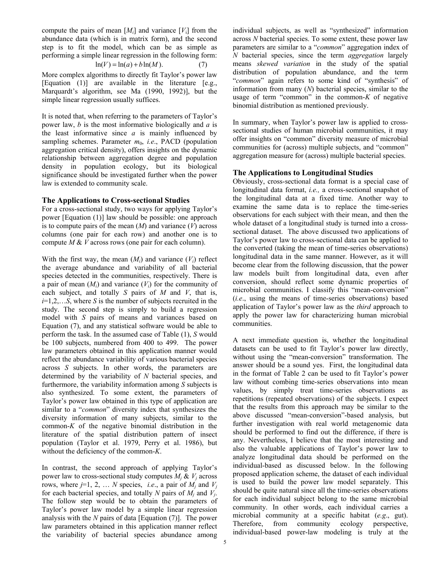compute the pairs of mean  $[M_i]$  and variance  $[V_i]$  from the abundance data (which is in matrix form), and the second step is to fit the model, which can be as simple as performing a simple linear regression in the following form:

$$
\ln(V) = \ln(a) + b\ln(M). \tag{7}
$$

More complex algorithms to directly fit Taylor's power law [Equation (1)] are available in the literature [e.g., Marquardt's algorithm, see Ma (1990, 1992)], but the simple linear regression usually suffices.

It is noted that, when referring to the parameters of Taylor's power law, *b* is the most informative biologically and *a* is the least informative since *a* is mainly influenced by sampling schemes. Parameter  $m_0$ , *i.e.*, PACD (population aggregation critical density), offers insights on the dynamic relationship between aggregation degree and population density in population ecology, but its biological significance should be investigated further when the power law is extended to community scale.

#### **The Applications to Cross-sectional Studies**

For a cross-sectional study, two ways for applying Taylor's power [Equation (1)] law should be possible: one approach is to compute pairs of the mean (*M*) and variance (*V*) across columns (one pair for each row) and another one is to compute *M* & *V* across rows (one pair for each column).

With the first way, the mean  $(M<sub>i</sub>)$  and variance  $(V<sub>i</sub>)$  reflect the average abundance and variability of all bacterial species detected in the communities, respectively. There is a pair of mean  $(M_i)$  and variance  $(V_i)$  for the community of each subject, and totally *S* pairs of *M* and *V*, that is,  $i=1,2,\ldots,S$ , where *S* is the number of subjects recruited in the study. The second step is simply to build a regression model with *S* pairs of means and variances based on Equation (7), and any statistical software would be able to perform the task. In the assumed case of Table (1), *S* would be 100 subjects, numbered from 400 to 499. The power law parameters obtained in this application manner would reflect the abundance variability of various bacterial species across *S* subjects. In other words, the parameters are determined by the variability of *N* bacterial species, and furthermore, the variability information among *S* subjects is also synthesized. To some extent, the parameters of Taylor's power law obtained in this type of application are similar to a "*common*" diversity index that synthesizes the diversity information of many subjects, similar to the common- $K$  of the negative binomial distribution in the literature of the spatial distribution pattern of insect population (Taylor et al. 1979, Perry et al. 1986), but without the deficiency of the common-*K*.

In contrast, the second approach of applying Taylor's power law to cross-sectional study computes  $M_i \& V_j$  across rows, where  $j=1, 2, \ldots N$  species, *i.e.*, a pair of  $M_i$  and  $V_j$ for each bacterial species, and totally *N* pairs of  $M_i$  and  $V_i$ . The follow step would be to obtain the parameters of Taylor's power law model by a simple linear regression analysis with the *N* pairs of data [Equation (7)]. The power law parameters obtained in this application manner reflect the variability of bacterial species abundance among

individual subjects, as well as "synthesized" information across *N* bacterial species. To some extent, these power law parameters are similar to a "*common*" aggregation index of *N* bacterial species, since the term *aggregation* largely means *skewed variation* in the study of the spatial distribution of population abundance, and the term "*common*" again refers to some kind of "synthesis" of information from many (*N*) bacterial species, similar to the usage of term "common" in the common- $K$  of negative binomial distribution as mentioned previously.

In summary, when Taylor's power law is applied to crosssectional studies of human microbial communities, it may offer insights on "common" diversity measure of microbial communities for (across) multiple subjects, and "common" aggregation measure for (across) multiple bacterial species.

#### **The Applications to Longitudinal Studies**

Obviously, cross-sectional data format is a special case of longitudinal data format, *i.e.,* a cross-sectional snapshot of the longitudinal data at a fixed time. Another way to examine the same data is to replace the time-series observations for each subject with their mean, and then the whole dataset of a longitudinal study is turned into a crosssectional dataset. The above discussed two applications of Taylor's power law to cross-sectional data can be applied to the converted (taking the mean of time-series observations) longitudinal data in the same manner. However, as it will become clear from the following discussion, that the power law models built from longitudinal data, even after conversion, should reflect some dynamic properties of microbial communities. I classify this "mean-conversion" (*i.e*., using the means of time-series observations) based application of Taylor's power law as the *third* approach to apply the power law for characterizing human microbial communities.

A next immediate question is, whether the longitudinal datasets can be used to fit Taylor's power law directly, without using the "mean-conversion" transformation. The answer should be a sound yes. First, the longitudinal data in the format of Table 2 can be used to fit Taylor's power law without combing time-series observations into mean values, by simply treat time-series observations as repetitions (repeated observations) of the subjects. I expect that the results from this approach may be similar to the above discussed "mean-conversion"-based analysis, but further investigation with real world metagenomic data should be performed to find out the difference, if there is any. Nevertheless, I believe that the most interesting and also the valuable applications of Taylor's power law to analyze longitudinal data should be performed on the individual-based as discussed below. In the following proposed application scheme, the dataset of each individual is used to build the power law model separately. This should be quite natural since all the time-series observations for each individual subject belong to the same microbial community. In other words, each individual carries a microbial community at a specific habitat (*e.g*., gut). Therefore, from community ecology perspective, individual-based power-law modeling is truly at the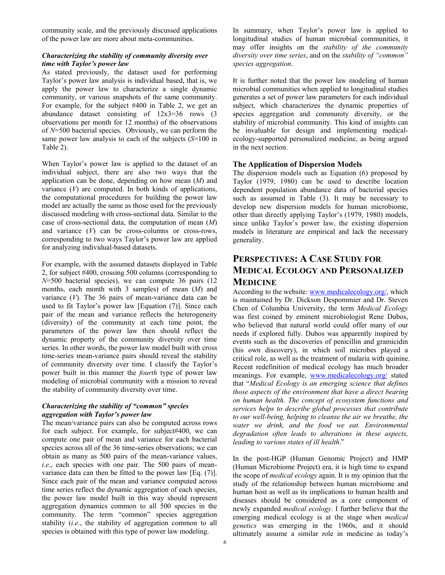community scale, and the previously discussed applications of the power law are more about meta-communities.

#### *Characterizing the stability of community diversity over time with Taylor's power law*

As stated previously, the dataset used for performing Taylor's power law analysis is individual based, that is, we apply the power law to characterize a single dynamic community, or various snapshots of the same community. For example, for the subject #400 in Table 2, we get an abundance dataset consisting of 12x3=36 rows (3 observations per month for 12 months) of the observations of *N*=500 bacterial species. Obviously, we can perform the same power law analysis to each of the subjects (*S*=100 in Table 2).

When Taylor's power law is applied to the dataset of an individual subject, there are also two ways that the application can be done, depending on how mean (*M*) and variance  $(V)$  are computed. In both kinds of applications, the computational procedures for building the power law model are actually the same as those used for the previously discussed modeling with cross-sectional data. Similar to the case of cross-sectional data, the computation of mean (*M*) and variance (*V*) can be cross-columns or cross-rows, corresponding to two ways Taylor's power law are applied for analyzing individual-based datasets.

For example, with the assumed datasets displayed in Table 2, for subject #400, crossing 500 columns (corresponding to *N*=500 bacterial species), we can compute 36 pairs (12 months, each month with 3 samples) of mean (*M*) and variance (*V*). The 36 pairs of mean-variance data can be used to fit Taylor's power law [Equation (7)]. Since each pair of the mean and variance reflects the heterogeneity (diversity) of the community at each time point, the parameters of the power law then should reflect the dynamic property of the community diversity over time series. In other words, the power law model built with cross time-series mean-variance pairs should reveal the stability of community diversity over time. I classify the Taylor's power built in this manner the *fourth* type of power law modeling of microbial community with a mission to reveal the stability of community diversity over time.

#### *Characterizing the stability of "common" species aggregation with Taylor's power law*

The mean/variance pairs can also be computed across rows for each subject. For example, for subject#400, we can compute one pair of mean and variance for each bacterial species across all of the 36 time-series observations; we can obtain as many as 500 pairs of the mean-variance values, *i.e*., each species with one pair. The 500 pairs of meanvariance data can then be fitted to the power law [Eq. (7)]. Since each pair of the mean and variance computed across time series reflect the dynamic aggregation of each species, the power law model built in this way should represent aggregation dynamics common to all 500 species in the community. The term "common" species aggregation stability (*i.e*., the stability of aggregation common to all species is obtained with this type of power law modeling.

In summary, when Taylor's power law is applied to longitudinal studies of human microbial communities, it may offer insights on the *stability of the community diversity over time series*, and on the *stability of "common" species aggregation*.

It is further noted that the power law modeling of human microbial communities when applied to longitudinal studies generates a set of power law parameters for each individual subject, which characterizes the dynamic properties of species aggregation and community diversity, or the stability of microbial community. This kind of insights can be invaluable for design and implementing medicalecology-supported personalized medicine, as being argued in the next section.

#### **The Application of Dispersion Models**

The dispersion models such as Equation (6) proposed by Taylor (1979, 1980) can be used to describe location dependent population abundance data of bacterial species such as assumed in Table (3). It may be necessary to develop new dispersion models for human microbiome, other than directly applying Taylor's (1979, 1980) models, since unlike Taylor's power law, the existing dispersion models in literature are empirical and lack the necessary generality.

## **PERSPECTIVES: A CASE STUDY FOR MEDICAL ECOLOGY AND PERSONALIZED MEDICINE**

According to the website: www.medicalecology.org/, which is maintained by Dr. Dickson Despommier and Dr. Steven Chen of Columbia University, the term *Medical Ecology* was first coined by eminent microbiologist Rene Dubos, who believed that natural world could offer many of our needs if explored fully. Dubos was apparently inspired by events such as the discoveries of penicillin and gramicidin (his own discovery), in which soil microbes played a critical role, as well as the treatment of malaria with quinine. Recent redefinition of medical ecology has much broader meanings. For example, www.medicalecology.org/ stated that "*Medical Ecology is an emerging science that defines those aspects of the environment that have a direct bearing on human health. The concept of ecosystem functions and services helps to describe global processes that contribute to our well-being, helping to cleanse the air we breathe, the water we drink, and the food we eat. Environmental degradation often leads to alterations in these aspects, leading to various states of ill health*."

In the post-HGP (Human Genomic Project) and HMP (Human Microbiome Project) era, it is high time to expand the scope of *medical ecology* again. It is my opinion that the study of the relationship between human microbiome and human host as well as its implications to human health and diseases should be considered as a core component of newly expanded *medical ecology*. I further believe that the emerging medical ecology is at the stage when *medical genetics* was emerging in the 1960s, and it should ultimately assume a similar role in medicine as today's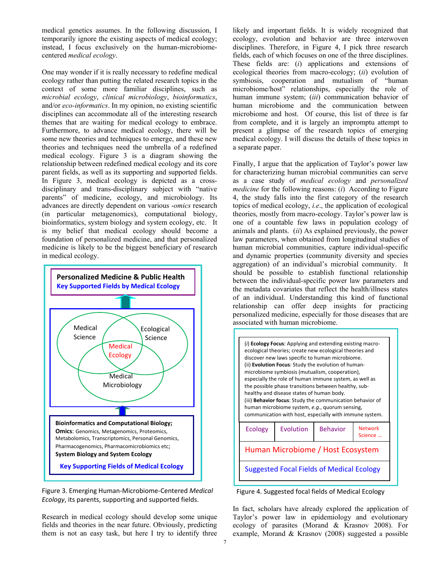medical genetics assumes. In the following discussion, I temporarily ignore the existing aspects of medical ecology; instead, I focus exclusively on the human-microbiomecentered *medical ecology*.

One may wonder if it is really necessary to redefine medical ecology rather than putting the related research topics in the context of some more familiar disciplines, such as *microbial ecology*, *clinical microbiology*, *bioinformatics*, and/or *eco-informatics*. In my opinion, no existing scientific disciplines can accommodate all of the interesting research themes that are waiting for medical ecology to embrace. Furthermore, to advance medical ecology, there will be some new theories and techniques to emerge, and these new theories and techniques need the umbrella of a redefined medical ecology. Figure 3 is a diagram showing the relationship between redefined medical ecology and its core parent fields, as well as its supporting and supported fields. In Figure 3, medical ecology is depicted as a crossdisciplinary and trans-disciplinary subject with "native parents" of medicine, ecology, and microbiology. Its advances are directly dependent on various -*omics* research (in particular metagenomics), computational biology, bioinformatics, system biology and system ecology, etc. It is my belief that medical ecology should become a foundation of personalized medicine, and that personalized medicine is likely to be the biggest beneficiary of research in medical ecology.





Research in medical ecology should develop some unique fields and theories in the near future. Obviously, predicting them is not an easy task, but here I try to identify three likely and important fields. It is widely recognized that ecology, evolution and behavior are three interwoven disciplines. Therefore, in Figure 4, I pick three research fields, each of which focuses on one of the three disciplines. These fields are: (*i*) applications and extensions of ecological theories from macro-ecology; (*ii*) evolution of symbiosis, cooperation and mutualism of "human microbiome/host" relationships, especially the role of human immune system; (*iii*) communication behavior of human microbiome and the communication between microbiome and host. Of course, this list of three is far from complete, and it is largely an impromptu attempt to present a glimpse of the research topics of emerging medical ecology. I will discuss the details of these topics in a separate paper.

Finally, I argue that the application of Taylor's power law for characterizing human microbial communities can serve as a case study of *medical ecology* and *personalized medicine* for the following reasons: (*i*) According to Figure 4, the study falls into the first category of the research topics of medical ecology, *i.e*., the application of ecological theories, mostly from macro-ecology. Taylor's power law is one of a countable few laws in population ecology of animals and plants. (*ii*) As explained previously, the power law parameters, when obtained from longitudinal studies of human microbial communities, capture individual-specific and dynamic properties (community diversity and species aggregation) of an individual's microbial community. It should be possible to establish functional relationship between the individual-specific power law parameters and the metadata covariates that reflect the health/illness states of an individual. Understanding this kind of functional relationship can offer deep insights for practicing personalized medicine, especially for those diseases that are associated with human microbiome.



Figure 4. Suggested focal fields of Medical Ecology

In fact, scholars have already explored the application of Taylor's power law in epidemiology and evolutionary ecology of parasites (Morand & Krasnov 2008). For example, Morand & Krasnov (2008) suggested a possible